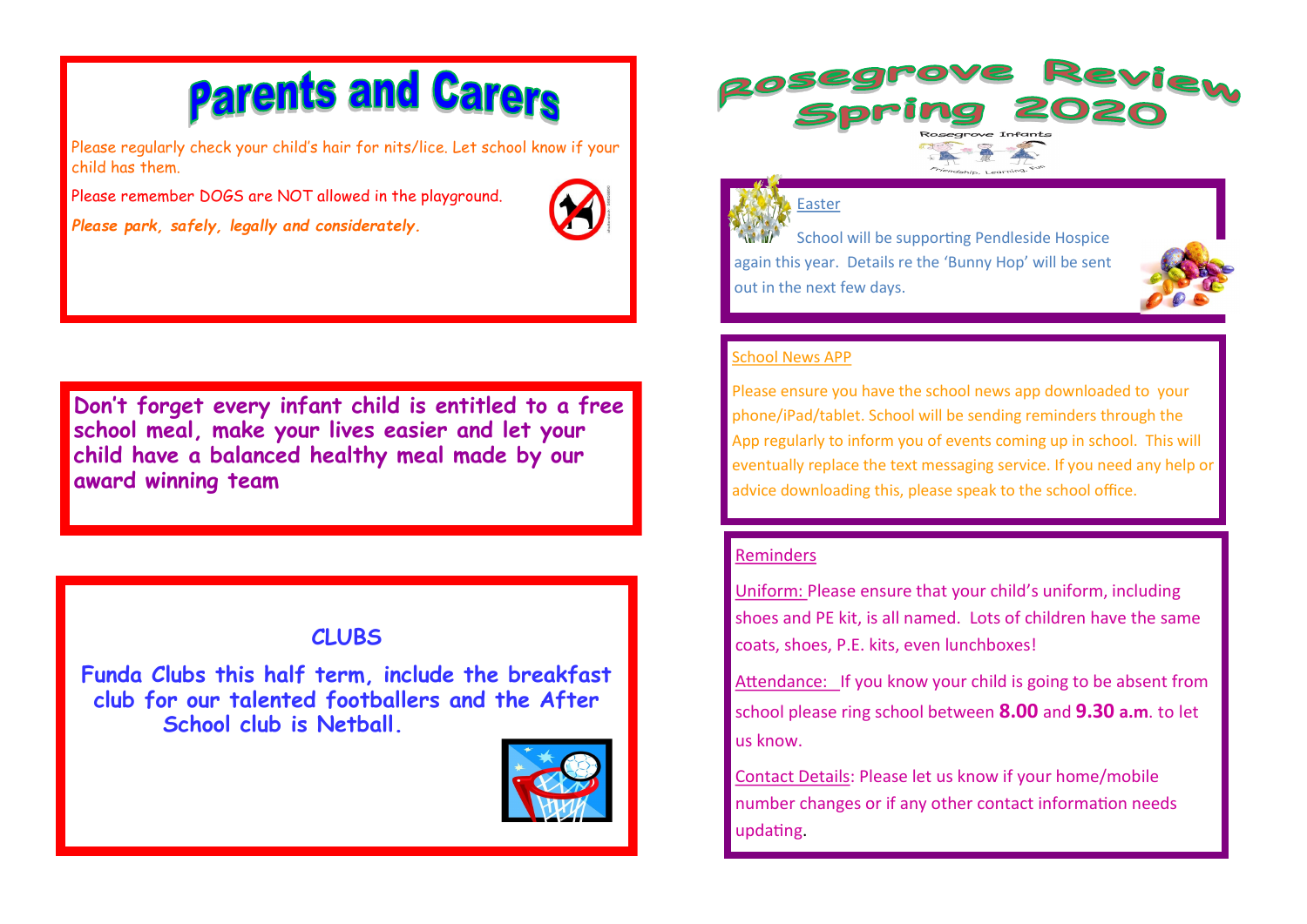# **Parents and Carers**

Please regularly check your child's hair for nits/lice. Let school know if your child has them.

Please remember DOGS are NOT allowed in the playground. *Please park, safely, legally and considerately.* 



**Don't forget every infant child is entitled to a free school meal, make your lives easier and let your child have a balanced healthy meal made by our award winning team**

# **CLUBS**

**Funda Clubs this half term, include the breakfast club for our talented footballers and the After School club is Netball.** 





#### Easter

School will be supporting Pendleside Hospice again this year. Details re the 'Bunny Hop' will be sent out in the next few days.



#### School News APP

Please ensure you have the school news app downloaded to your phone/iPad/tablet. School will be sending reminders through the App regularly to inform you of events coming up in school. This will eventually replace the text messaging service. If you need any help or advice downloading this, please speak to the school office.

## Reminders

Uniform: Please ensure that your child's uniform, including shoes and PE kit, is all named. Lots of children have the same coats, shoes, P.E. kits, even lunchboxes!

Attendance: If you know your child is going to be absent from school please ring school between **8.00** and **9.30 a.m**. to let us know.

Contact Details: Please let us know if your home/mobile number changes or if any other contact information needs updating.